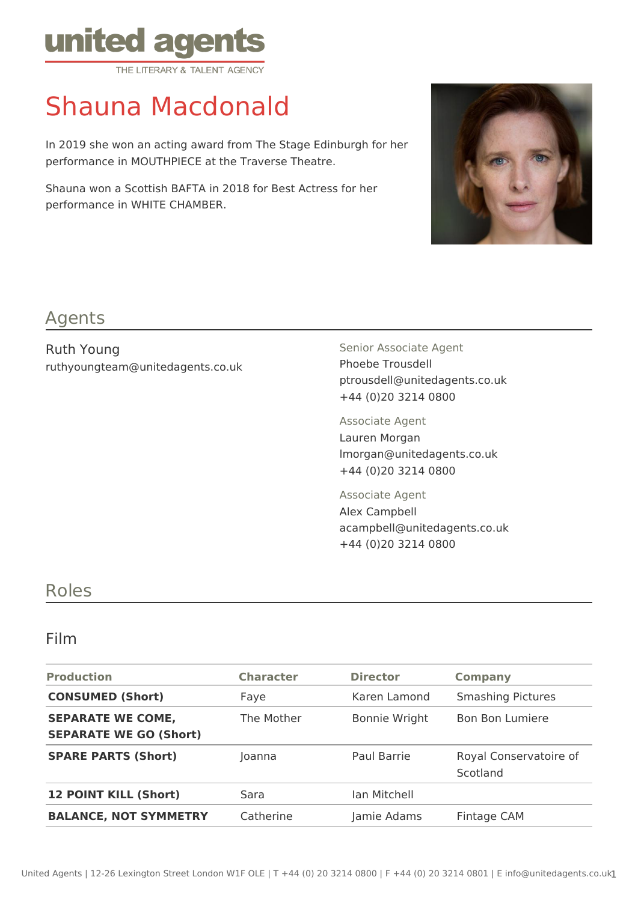

# Shauna Macdonald

In 2019 she won an acting award from The Stage Edinburgh for her performance in MOUTHPIECE at the Traverse Theatre.

Shauna won a Scottish BAFTA in 2018 for Best Actress for her performance in WHITE CHAMBER.



## Agents

Ruth Young ruthyoungteam@unitedagents.co.uk Senior Associate Agent Phoebe Trousdell ptrousdell@unitedagents.co.uk +44 (0)20 3214 0800

Associate Agent Lauren Morgan lmorgan@unitedagents.co.uk +44 (0)20 3214 0800

Associate Agent Alex Campbell acampbell@unitedagents.co.uk +44 (0)20 3214 0800

### Roles

#### Film

| <b>Production</b>                                         | <b>Character</b> | <b>Director</b>      | <b>Company</b>                     |
|-----------------------------------------------------------|------------------|----------------------|------------------------------------|
| <b>CONSUMED (Short)</b>                                   | Faye             | Karen Lamond         | <b>Smashing Pictures</b>           |
| <b>SEPARATE WE COME,</b><br><b>SEPARATE WE GO (Short)</b> | The Mother       | <b>Bonnie Wright</b> | <b>Bon Bon Lumiere</b>             |
| <b>SPARE PARTS (Short)</b>                                | Joanna           | Paul Barrie          | Royal Conservatoire of<br>Scotland |
| <b>12 POINT KILL (Short)</b>                              | Sara             | Ian Mitchell         |                                    |
| <b>BALANCE, NOT SYMMETRY</b>                              | Catherine        | Jamie Adams          | Fintage CAM                        |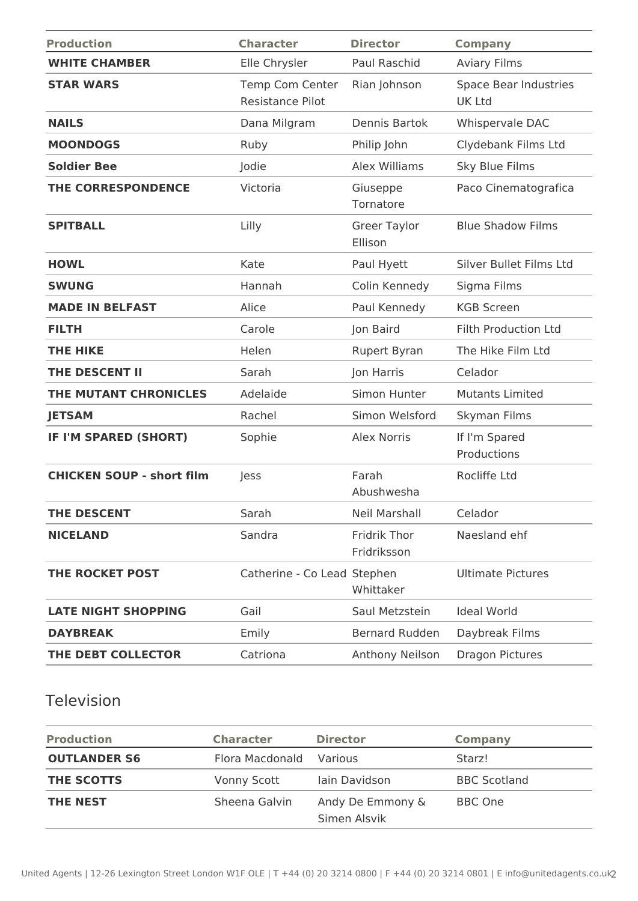| <b>Production</b>                | <b>Character</b>                           | <b>Director</b>                | <b>Company</b>                         |
|----------------------------------|--------------------------------------------|--------------------------------|----------------------------------------|
| <b>WHITE CHAMBER</b>             | Elle Chrysler                              | Paul Raschid                   | <b>Aviary Films</b>                    |
| <b>STAR WARS</b>                 | Temp Com Center<br><b>Resistance Pilot</b> | Rian Johnson                   | Space Bear Industries<br><b>UK Ltd</b> |
| <b>NAILS</b>                     | Dana Milgram                               | Dennis Bartok                  | Whispervale DAC                        |
| <b>MOONDOGS</b>                  | Ruby                                       | Philip John                    | Clydebank Films Ltd                    |
| <b>Soldier Bee</b>               | Jodie                                      | Alex Williams                  | Sky Blue Films                         |
| THE CORRESPONDENCE               | Victoria                                   | Giuseppe<br>Tornatore          | Paco Cinematografica                   |
| <b>SPITBALL</b>                  | Lilly                                      | <b>Greer Taylor</b><br>Ellison | <b>Blue Shadow Films</b>               |
| <b>HOWL</b>                      | Kate                                       | Paul Hyett                     | Silver Bullet Films Ltd                |
| <b>SWUNG</b>                     | Hannah                                     | Colin Kennedy                  | Sigma Films                            |
| <b>MADE IN BELFAST</b>           | Alice                                      | Paul Kennedy                   | <b>KGB Screen</b>                      |
| <b>FILTH</b>                     | Carole                                     | Jon Baird                      | <b>Filth Production Ltd</b>            |
| <b>THE HIKE</b>                  | Helen                                      | Rupert Byran                   | The Hike Film Ltd                      |
| THE DESCENT II                   | Sarah                                      | Jon Harris                     | Celador                                |
| THE MUTANT CHRONICLES            | Adelaide                                   | Simon Hunter                   | <b>Mutants Limited</b>                 |
| <b>JETSAM</b>                    | Rachel                                     | Simon Welsford                 | Skyman Films                           |
| IF I'M SPARED (SHORT)            | Sophie                                     | Alex Norris                    | If I'm Spared<br>Productions           |
| <b>CHICKEN SOUP - short film</b> | Jess                                       | Farah<br>Abushwesha            | Rocliffe Ltd                           |
| <b>THE DESCENT</b>               | Sarah                                      | Neil Marshall                  | Celador                                |
| <b>NICELAND</b>                  | Sandra                                     | Fridrik Thor<br>Fridriksson    | Naesland ehf                           |
| THE ROCKET POST                  | Catherine - Co Lead Stephen                | Whittaker                      | <b>Ultimate Pictures</b>               |
| <b>LATE NIGHT SHOPPING</b>       | Gail                                       | Saul Metzstein                 | <b>Ideal World</b>                     |
| <b>DAYBREAK</b>                  | Emily                                      | <b>Bernard Rudden</b>          | Daybreak Films                         |
| THE DEBT COLLECTOR               | Catriona                                   | Anthony Neilson                | <b>Dragon Pictures</b>                 |

## Television

| <b>Production</b>   | <b>Character</b> | <b>Director</b>                  | Company             |
|---------------------|------------------|----------------------------------|---------------------|
| <b>OUTLANDER S6</b> | Flora Macdonald  | <b>Various</b>                   | Starz!              |
| THE SCOTTS          | Vonny Scott      | lain Davidson                    | <b>BBC Scotland</b> |
| <b>THE NEST</b>     | Sheena Galvin    | Andy De Emmony &<br>Simen Alsvik | BBC One             |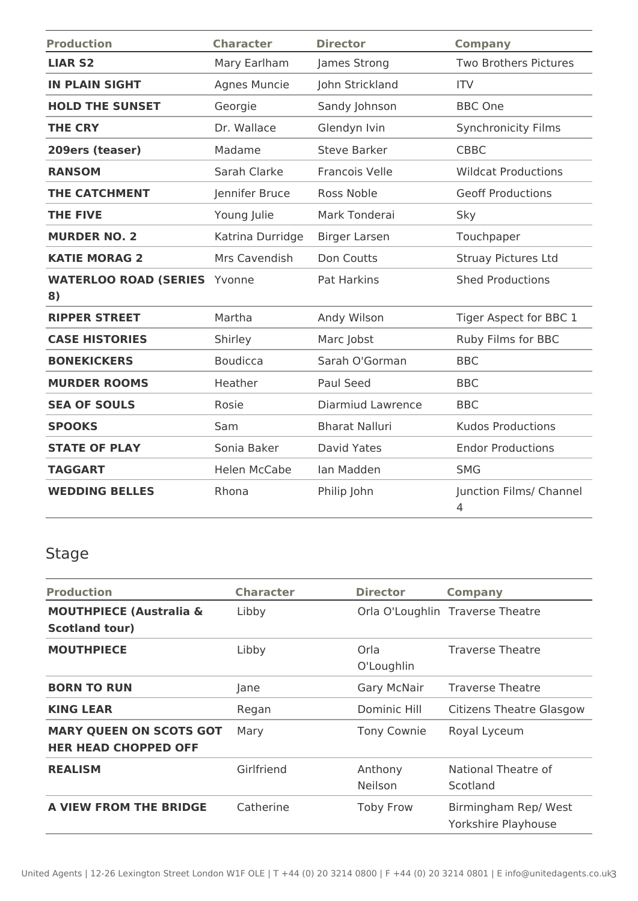| <b>Production</b>                  | <b>Character</b>    | <b>Director</b>       | <b>Company</b>               |
|------------------------------------|---------------------|-----------------------|------------------------------|
| <b>LIAR S2</b>                     | Mary Earlham        | James Strong          | <b>Two Brothers Pictures</b> |
| <b>IN PLAIN SIGHT</b>              | Agnes Muncie        | John Strickland       | <b>ITV</b>                   |
| <b>HOLD THE SUNSET</b>             | Georgie             | Sandy Johnson         | <b>BBC One</b>               |
| <b>THE CRY</b>                     | Dr. Wallace         | Glendyn Ivin          | <b>Synchronicity Films</b>   |
| 209ers (teaser)                    | Madame              | <b>Steve Barker</b>   | <b>CBBC</b>                  |
| <b>RANSOM</b>                      | Sarah Clarke        | <b>Francois Velle</b> | <b>Wildcat Productions</b>   |
| <b>THE CATCHMENT</b>               | Jennifer Bruce      | Ross Noble            | <b>Geoff Productions</b>     |
| <b>THE FIVE</b>                    | Young Julie         | Mark Tonderai         | Sky                          |
| <b>MURDER NO. 2</b>                | Katrina Durridge    | <b>Birger Larsen</b>  | Touchpaper                   |
| <b>KATIE MORAG 2</b>               | Mrs Cavendish       | Don Coutts            | <b>Struay Pictures Ltd</b>   |
| <b>WATERLOO ROAD (SERIES</b><br>8) | Yvonne              | Pat Harkins           | <b>Shed Productions</b>      |
| <b>RIPPER STREET</b>               | Martha              | Andy Wilson           | Tiger Aspect for BBC 1       |
| <b>CASE HISTORIES</b>              | Shirley             | Marc Jobst            | Ruby Films for BBC           |
| <b>BONEKICKERS</b>                 | <b>Boudicca</b>     | Sarah O'Gorman        | <b>BBC</b>                   |
| <b>MURDER ROOMS</b>                | Heather             | <b>Paul Seed</b>      | <b>BBC</b>                   |
| <b>SEA OF SOULS</b>                | Rosie               | Diarmiud Lawrence     | <b>BBC</b>                   |
| <b>SPOOKS</b>                      | Sam                 | <b>Bharat Nalluri</b> | <b>Kudos Productions</b>     |
| <b>STATE OF PLAY</b>               | Sonia Baker         | David Yates           | <b>Endor Productions</b>     |
| <b>TAGGART</b>                     | <b>Helen McCabe</b> | Ian Madden            | <b>SMG</b>                   |
| <b>WEDDING BELLES</b>              | Rhona               | Philip John           | Junction Films/ Channel<br>4 |

# Stage

| <b>Production</b>                                             | <b>Character</b> | <b>Director</b>    | <b>Company</b>                             |
|---------------------------------------------------------------|------------------|--------------------|--------------------------------------------|
| <b>MOUTHPIECE (Australia &amp;</b><br><b>Scotland tour)</b>   | Libby            |                    | Orla O'Loughlin Traverse Theatre           |
| <b>MOUTHPIECE</b>                                             | Libby            | Orla<br>O'Loughlin | <b>Traverse Theatre</b>                    |
| <b>BORN TO RUN</b>                                            | Jane             | <b>Gary McNair</b> | <b>Traverse Theatre</b>                    |
| <b>KING LEAR</b>                                              | Regan            | Dominic Hill       | <b>Citizens Theatre Glasgow</b>            |
| <b>MARY QUEEN ON SCOTS GOT</b><br><b>HER HEAD CHOPPED OFF</b> | Mary             | Tony Cownie        | Royal Lyceum                               |
| <b>REALISM</b>                                                | Girlfriend       | Anthony<br>Neilson | National Theatre of<br>Scotland            |
| A VIEW FROM THE BRIDGE                                        | Catherine        | <b>Toby Frow</b>   | Birmingham Rep/West<br>Yorkshire Playhouse |